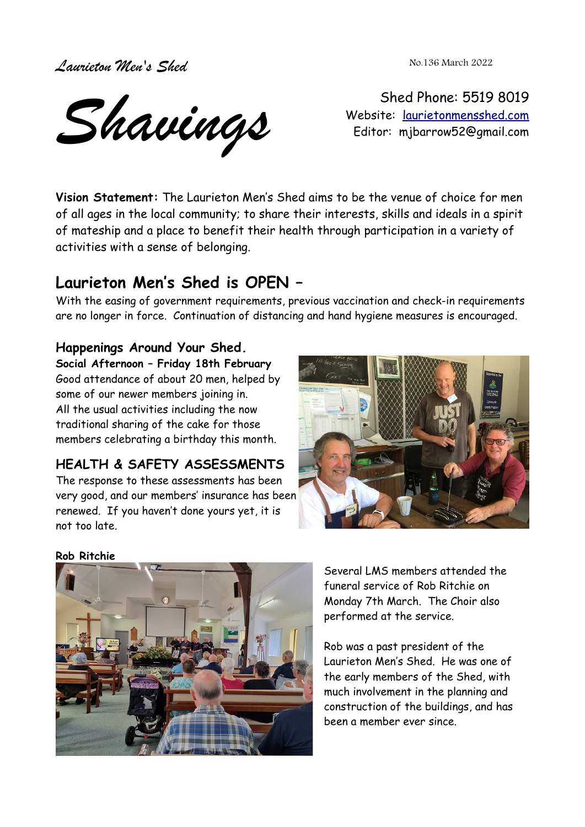*Laurieton Men's Shed* 

No.136 March 2022

*Shavings*

Shed Phone: 5519 8019 Website: [laurietonmensshed.com](http://laurietonmensshed.com.au/) Editor: mjbarrow52@gmail.com

**Vision Statement:** The Laurieton Men's Shed aims to be the venue of choice for men of all ages in the local community; to share their interests, skills and ideals in a spirit of mateship and a place to benefit their health through participation in a variety of activities with a sense of belonging.

## **Laurieton Men's Shed is OPEN –**

With the easing of government requirements, previous vaccination and check-in requirements are no longer in force. Continuation of distancing and hand hygiene measures is encouraged.

#### **Happenings Around Your Shed.**

**Social Afternoon – Friday 18th February** Good attendance of about 20 men, helped by some of our newer members joining in. All the usual activities including the now traditional sharing of the cake for those members celebrating a birthday this month.

## **HEALTH & SAFETY ASSESSMENTS**

The response to these assessments has been very good, and our members' insurance has been renewed. If you haven't done yours yet, it is not too late.



#### **Rob Ritchie**



Several LMS members attended the funeral service of Rob Ritchie on Monday 7th March. The Choir also performed at the service.

Rob was a past president of the Laurieton Men's Shed. He was one of the early members of the Shed, with much involvement in the planning and construction of the buildings, and has been a member ever since.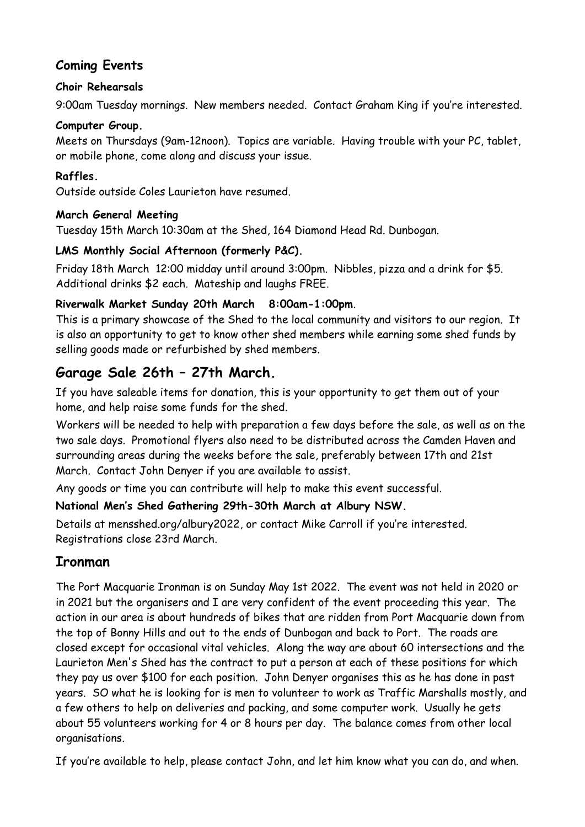#### **Coming Events**

#### **Choir Rehearsals**

9:00am Tuesday mornings. New members needed. Contact Graham King if you're interested.

#### **Computer Group.**

Meets on Thursdays (9am-12noon). Topics are variable. Having trouble with your PC, tablet, or mobile phone, come along and discuss your issue.

#### **Raffles.**

Outside outside Coles Laurieton have resumed.

#### **March General Meeting**

Tuesday 15th March 10:30am at the Shed, 164 Diamond Head Rd. Dunbogan.

#### **LMS Monthly Social Afternoon (formerly P&C).**

Friday 18th March 12:00 midday until around 3:00pm. Nibbles, pizza and a drink for \$5. Additional drinks \$2 each. Mateship and laughs FREE.

#### **Riverwalk Market Sunday 20th March 8:00am-1:00pm**.

This is a primary showcase of the Shed to the local community and visitors to our region. It is also an opportunity to get to know other shed members while earning some shed funds by selling goods made or refurbished by shed members.

## **Garage Sale 26th – 27th March.**

If you have saleable items for donation, this is your opportunity to get them out of your home, and help raise some funds for the shed.

Workers will be needed to help with preparation a few days before the sale, as well as on the two sale days. Promotional flyers also need to be distributed across the Camden Haven and surrounding areas during the weeks before the sale, preferably between 17th and 21st March. Contact John Denyer if you are available to assist.

Any goods or time you can contribute will help to make this event successful.

#### **National Men's Shed Gathering 29th-30th March at Albury NSW.**

Details at mensshed.org/albury2022, or contact Mike Carroll if you're interested. Registrations close 23rd March.

## **Ironman**

The Port Macquarie Ironman is on Sunday May 1st 2022. The event was not held in 2020 or in 2021 but the organisers and I are very confident of the event proceeding this year. The action in our area is about hundreds of bikes that are ridden from Port Macquarie down from the top of Bonny Hills and out to the ends of Dunbogan and back to Port. The roads are closed except for occasional vital vehicles. Along the way are about 60 intersections and the Laurieton Men's Shed has the contract to put a person at each of these positions for which they pay us over \$100 for each position. John Denyer organises this as he has done in past years. SO what he is looking for is men to volunteer to work as Traffic Marshalls mostly, and a few others to help on deliveries and packing, and some computer work. Usually he gets about 55 volunteers working for 4 or 8 hours per day. The balance comes from other local organisations.

If you're available to help, please contact John, and let him know what you can do, and when.